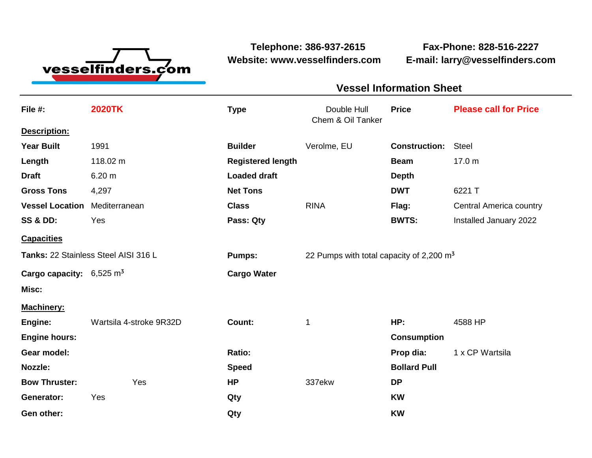

**Telephone: 386-937-2615 Fax-Phone: 828-516-2227 Website: www.vesselfinders.com E-mail: larry@vesselfinders.com**

## **Vessel Information Sheet Vessel Information Sheet**

| File #:                              | <b>2020TK</b>           | <b>Type</b>              | Double Hull<br>Chem & Oil Tanker           | <b>Price</b>         | <b>Please call for Price</b>   |  |
|--------------------------------------|-------------------------|--------------------------|--------------------------------------------|----------------------|--------------------------------|--|
| Description:                         |                         |                          |                                            |                      |                                |  |
| <b>Year Built</b>                    | 1991                    | <b>Builder</b>           | Verolme, EU                                | <b>Construction:</b> | <b>Steel</b>                   |  |
| Length                               | 118.02 m                | <b>Registered length</b> |                                            | <b>Beam</b>          | 17.0 m                         |  |
| <b>Draft</b>                         | 6.20 m                  | <b>Loaded draft</b>      |                                            | <b>Depth</b>         |                                |  |
| <b>Gross Tons</b>                    | 4,297                   | <b>Net Tons</b>          |                                            | <b>DWT</b>           | 6221 T                         |  |
| <b>Vessel Location</b>               | Mediterranean           | <b>Class</b>             | <b>RINA</b>                                | Flag:                | <b>Central America country</b> |  |
| <b>SS &amp; DD:</b>                  | Yes                     | Pass: Qty                |                                            | <b>BWTS:</b>         | Installed January 2022         |  |
| <b>Capacities</b>                    |                         |                          |                                            |                      |                                |  |
| Tanks: 22 Stainless Steel AISI 316 L |                         | <b>Pumps:</b>            | 22 Pumps with total capacity of 2,200 $m3$ |                      |                                |  |
| Cargo capacity: $6,525 \text{ m}^3$  |                         | <b>Cargo Water</b>       |                                            |                      |                                |  |
| Misc:                                |                         |                          |                                            |                      |                                |  |
| <b>Machinery:</b>                    |                         |                          |                                            |                      |                                |  |
| Engine:                              | Wartsila 4-stroke 9R32D | Count:                   | 1                                          | HP:                  | 4588 HP                        |  |
| <b>Engine hours:</b>                 |                         |                          |                                            | <b>Consumption</b>   |                                |  |
| Gear model:                          |                         | Ratio:                   |                                            | Prop dia:            | 1 x CP Wartsila                |  |
| Nozzle:                              |                         | <b>Speed</b>             |                                            | <b>Bollard Pull</b>  |                                |  |
| <b>Bow Thruster:</b>                 | Yes                     | <b>HP</b>                | 337ekw                                     | <b>DP</b>            |                                |  |
| Generator:                           | Yes                     | Qty                      |                                            | <b>KW</b>            |                                |  |
| Gen other:                           |                         | Qty                      |                                            | <b>KW</b>            |                                |  |